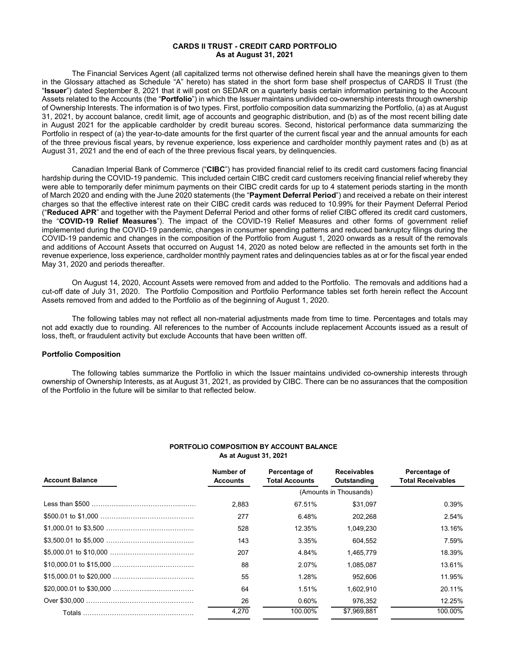# **CARDS II TRUST - CREDIT CARD PORTFOLIO As at August 31, 2021**

The Financial Services Agent (all capitalized terms not otherwise defined herein shall have the meanings given to them in the Glossary attached as Schedule "A" hereto) has stated in the short form base shelf prospectus of CARDS II Trust (the "**Issuer**") dated September 8, 2021 that it will post on SEDAR on a quarterly basis certain information pertaining to the Account Assets related to the Accounts (the "**Portfolio**") in which the Issuer maintains undivided co-ownership interests through ownership of Ownership Interests. The information is of two types. First, portfolio composition data summarizing the Portfolio, (a) as at August 31, 2021, by account balance, credit limit, age of accounts and geographic distribution, and (b) as of the most recent billing date in August 2021 for the applicable cardholder by credit bureau scores. Second, historical performance data summarizing the Portfolio in respect of (a) the year-to-date amounts for the first quarter of the current fiscal year and the annual amounts for each of the three previous fiscal years, by revenue experience, loss experience and cardholder monthly payment rates and (b) as at August 31, 2021 and the end of each of the three previous fiscal years, by delinquencies.

Canadian Imperial Bank of Commerce ("**CIBC**") has provided financial relief to its credit card customers facing financial hardship during the COVID-19 pandemic. This included certain CIBC credit card customers receiving financial relief whereby they were able to temporarily defer minimum payments on their CIBC credit cards for up to 4 statement periods starting in the month of March 2020 and ending with the June 2020 statements (the "**Payment Deferral Period**") and received a rebate on their interest charges so that the effective interest rate on their CIBC credit cards was reduced to 10.99% for their Payment Deferral Period ("**Reduced APR**" and together with the Payment Deferral Period and other forms of relief CIBC offered its credit card customers, the "**COVID-19 Relief Measures**"). The impact of the COVID-19 Relief Measures and other forms of government relief implemented during the COVID-19 pandemic, changes in consumer spending patterns and reduced bankruptcy filings during the COVID-19 pandemic and changes in the composition of the Portfolio from August 1, 2020 onwards as a result of the removals and additions of Account Assets that occurred on August 14, 2020 as noted below are reflected in the amounts set forth in the revenue experience, loss experience, cardholder monthly payment rates and delinquencies tables as at or for the fiscal year ended May 31, 2020 and periods thereafter.

On August 14, 2020, Account Assets were removed from and added to the Portfolio. The removals and additions had a cut-off date of July 31, 2020. The Portfolio Composition and Portfolio Performance tables set forth herein reflect the Account Assets removed from and added to the Portfolio as of the beginning of August 1, 2020.

The following tables may not reflect all non-material adjustments made from time to time. Percentages and totals may not add exactly due to rounding. All references to the number of Accounts include replacement Accounts issued as a result of loss, theft, or fraudulent activity but exclude Accounts that have been written off.

#### **Portfolio Composition**

The following tables summarize the Portfolio in which the Issuer maintains undivided co-ownership interests through ownership of Ownership Interests, as at August 31, 2021, as provided by CIBC. There can be no assurances that the composition of the Portfolio in the future will be similar to that reflected below.

# **PORTFOLIO COMPOSITION BY ACCOUNT BALANCE As at August 31, 2021**

| <b>Account Balance</b> | Number of<br><b>Accounts</b> | Percentage of<br><b>Total Accounts</b> | <b>Receivables</b><br>Outstanding | Percentage of<br><b>Total Receivables</b> |
|------------------------|------------------------------|----------------------------------------|-----------------------------------|-------------------------------------------|
|                        |                              |                                        | (Amounts in Thousands)            |                                           |
|                        | 2.883                        | 67.51%                                 | \$31.097                          | 0.39%                                     |
|                        | 277                          | 6.48%                                  | 202.268                           | 2.54%                                     |
|                        | 528                          | 12.35%                                 | 1.049.230                         | 13.16%                                    |
|                        | 143                          | 3.35%                                  | 604.552                           | 7.59%                                     |
|                        | 207                          | 4.84%                                  | 1.465.779                         | 18.39%                                    |
|                        | 88                           | 2.07%                                  | 1.085.087                         | 13.61%                                    |
|                        | 55                           | 1.28%                                  | 952.606                           | 11.95%                                    |
|                        | 64                           | 1.51%                                  | 1.602.910                         | 20.11%                                    |
|                        | 26                           | $0.60\%$                               | 976.352                           | 12.25%                                    |
|                        | 4,270                        | 100.00%                                | \$7,969,881                       | 100.00%                                   |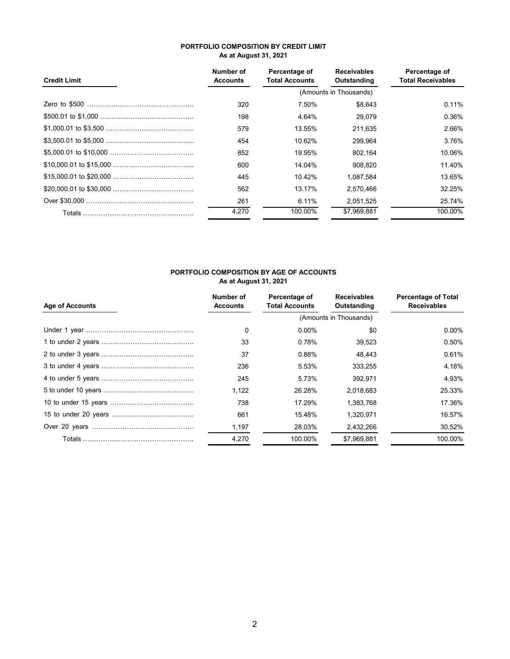# **PORTFOLIO COMPOSITION BY CREDIT LIMIT As at August 31, 2021**

| <b>Credit Limit</b> | Number of<br><b>Accounts</b> | Percentage of<br><b>Total Accounts</b> | <b>Receivables</b><br>Outstanding | Percentage of<br><b>Total Receivables</b> |
|---------------------|------------------------------|----------------------------------------|-----------------------------------|-------------------------------------------|
|                     |                              |                                        | (Amounts in Thousands)            |                                           |
|                     | 320                          | 7.50%                                  | \$8,643                           | 0.11%                                     |
|                     | 198                          | 4.64%                                  | 29.079                            | 0.36%                                     |
|                     | 579                          | 13.55%                                 | 211.635                           | 2.66%                                     |
|                     | 454                          | 10.62%                                 | 299.964                           | 3.76%                                     |
|                     | 852                          | 19.95%                                 | 802,164                           | 10.06%                                    |
|                     | 600                          | 14.04%                                 | 908.820                           | 11.40%                                    |
|                     | 445                          | 10.42%                                 | 1.087.584                         | 13.65%                                    |
|                     | 562                          | 13.17%                                 | 2,570,466                         | 32.25%                                    |
|                     | 261                          | 6.11%                                  | 2,051,525                         | 25.74%                                    |
|                     | 4,270                        | 100.00%                                | \$7.969.881                       | 100.00%                                   |

# **PORTFOLIO COMPOSITION BY AGE OF ACCOUNTS As at August 31, 2021**

| <b>Age of Accounts</b> | Number of<br><b>Accounts</b> | Percentage of<br><b>Total Accounts</b> | <b>Receivables</b><br>Outstanding | <b>Percentage of Total</b><br><b>Receivables</b> |
|------------------------|------------------------------|----------------------------------------|-----------------------------------|--------------------------------------------------|
|                        |                              |                                        | (Amounts in Thousands)            |                                                  |
|                        | 0                            | $0.00\%$                               | \$0                               | $0.00\%$                                         |
|                        | 33                           | 0.78%                                  | 39.523                            | 0.50%                                            |
|                        | 37                           | 0.88%                                  | 48.443                            | 0.61%                                            |
|                        | 236                          | 5.53%                                  | 333.255                           | 4.18%                                            |
|                        | 245                          | 5.73%                                  | 392.971                           | 4.93%                                            |
|                        | 1.122                        | 26.28%                                 | 2.018.683                         | 25.33%                                           |
|                        | 738                          | 17.29%                                 | 1,383,768                         | 17.36%                                           |
|                        | 661                          | 15.48%                                 | 1,320,971                         | 16.57%                                           |
|                        | 1,197                        | 28.03%                                 | 2,432,266                         | 30.52%                                           |
|                        | 4,270                        | 100.00%                                | \$7,969,881                       | 100.00%                                          |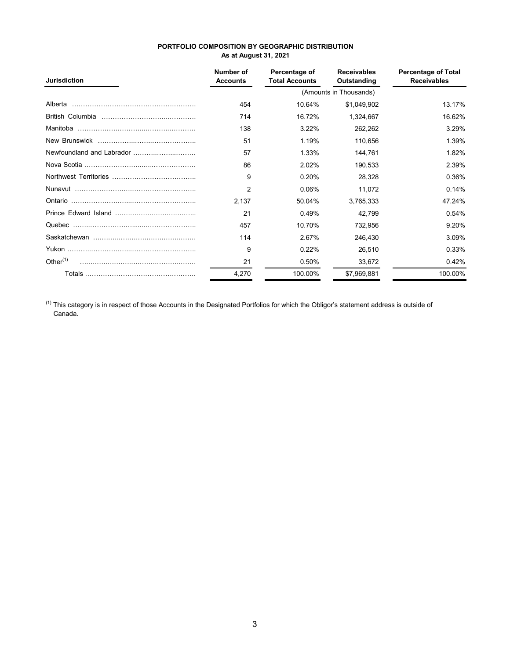| PORTFOLIO COMPOSITION BY GEOGRAPHIC DISTRIBUTION |
|--------------------------------------------------|
| <b>As at August 31, 2021</b>                     |

| <b>Jurisdiction</b> | Number of<br><b>Accounts</b> | Percentage of<br><b>Total Accounts</b> | <b>Receivables</b><br>Outstanding | <b>Percentage of Total</b><br><b>Receivables</b> |
|---------------------|------------------------------|----------------------------------------|-----------------------------------|--------------------------------------------------|
|                     |                              |                                        | (Amounts in Thousands)            |                                                  |
| Alberta             | 454                          | 10.64%                                 | \$1,049,902                       | 13.17%                                           |
|                     | 714                          | 16.72%                                 | 1,324,667                         | 16.62%                                           |
|                     | 138                          | 3.22%                                  | 262,262                           | 3.29%                                            |
|                     | 51                           | 1.19%                                  | 110,656                           | 1.39%                                            |
|                     | 57                           | 1.33%                                  | 144,761                           | 1.82%                                            |
|                     | 86                           | 2.02%                                  | 190,533                           | 2.39%                                            |
|                     | 9                            | 0.20%                                  | 28,328                            | 0.36%                                            |
|                     | 2                            | 0.06%                                  | 11,072                            | 0.14%                                            |
|                     | 2,137                        | 50.04%                                 | 3,765,333                         | 47.24%                                           |
|                     | 21                           | 0.49%                                  | 42,799                            | 0.54%                                            |
|                     | 457                          | 10.70%                                 | 732,956                           | 9.20%                                            |
|                     | 114                          | 2.67%                                  | 246,430                           | 3.09%                                            |
|                     | 9                            | 0.22%                                  | 26,510                            | 0.33%                                            |
| Other $(1)$         | 21                           | 0.50%                                  | 33,672                            | 0.42%                                            |
|                     | 4,270                        | 100.00%                                | \$7,969,881                       | 100.00%                                          |

 $^{(1)}$  This category is in respect of those Accounts in the Designated Portfolios for which the Obligor's statement address is outside of Canada.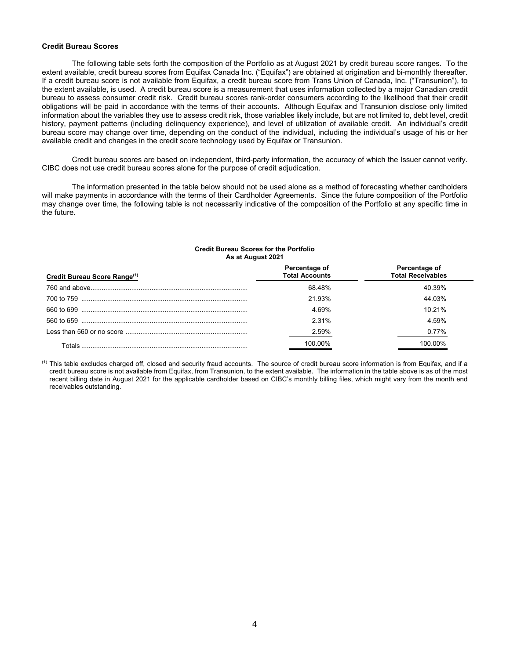#### **Credit Bureau Scores**

 The following table sets forth the composition of the Portfolio as at August 2021 by credit bureau score ranges. To the extent available, credit bureau scores from Equifax Canada Inc. ("Equifax") are obtained at origination and bi-monthly thereafter. If a credit bureau score is not available from Equifax, a credit bureau score from Trans Union of Canada, Inc. ("Transunion"), to the extent available, is used. A credit bureau score is a measurement that uses information collected by a major Canadian credit bureau to assess consumer credit risk. Credit bureau scores rank-order consumers according to the likelihood that their credit obligations will be paid in accordance with the terms of their accounts. Although Equifax and Transunion disclose only limited information about the variables they use to assess credit risk, those variables likely include, but are not limited to, debt level, credit history, payment patterns (including delinquency experience), and level of utilization of available credit. An individual's credit bureau score may change over time, depending on the conduct of the individual, including the individual's usage of his or her available credit and changes in the credit score technology used by Equifax or Transunion.

 Credit bureau scores are based on independent, third-party information, the accuracy of which the Issuer cannot verify. CIBC does not use credit bureau scores alone for the purpose of credit adjudication.

 The information presented in the table below should not be used alone as a method of forecasting whether cardholders will make payments in accordance with the terms of their Cardholder Agreements. Since the future composition of the Portfolio may change over time, the following table is not necessarily indicative of the composition of the Portfolio at any specific time in the future.

#### **Credit Bureau Scores for the Portfolio As at August 2021**

| Credit Bureau Score Range <sup>(1)</sup> | Percentage of<br><b>Total Accounts</b> | Percentage of<br><b>Total Receivables</b> |
|------------------------------------------|----------------------------------------|-------------------------------------------|
|                                          | 68.48%                                 | 40 39%                                    |
|                                          | 21 93%                                 | 44 03%                                    |
|                                          | 4.69%                                  | 10 21%                                    |
|                                          | 2 3 1 %                                | 4 59%                                     |
|                                          | 2.59%                                  | $0.77\%$                                  |
| Totals                                   | I በበ በበ%                               | 1በበ በበ%                                   |

(1) This table excludes charged off, closed and security fraud accounts. The source of credit bureau score information is from Equifax, and if a credit bureau score is not available from Equifax, from Transunion, to the extent available. The information in the table above is as of the most recent billing date in August 2021 for the applicable cardholder based on CIBC's monthly billing files, which might vary from the month end receivables outstanding.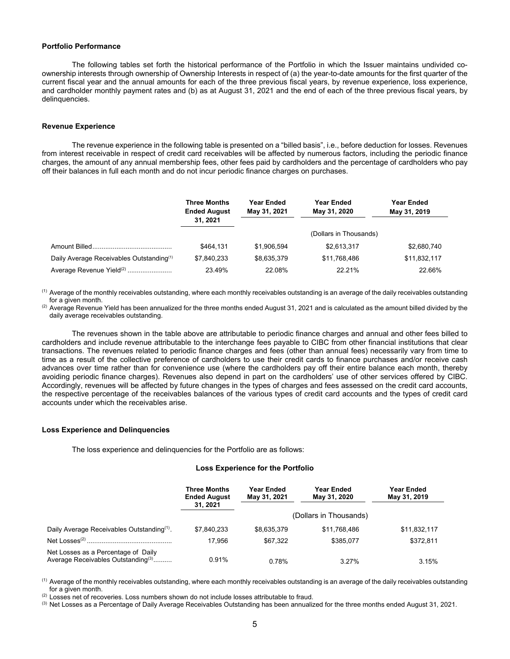#### **Portfolio Performance**

The following tables set forth the historical performance of the Portfolio in which the Issuer maintains undivided coownership interests through ownership of Ownership Interests in respect of (a) the year-to-date amounts for the first quarter of the current fiscal year and the annual amounts for each of the three previous fiscal years, by revenue experience, loss experience, and cardholder monthly payment rates and (b) as at August 31, 2021 and the end of each of the three previous fiscal years, by delinquencies.

#### **Revenue Experience**

The revenue experience in the following table is presented on a "billed basis", i.e., before deduction for losses. Revenues from interest receivable in respect of credit card receivables will be affected by numerous factors, including the periodic finance charges, the amount of any annual membership fees, other fees paid by cardholders and the percentage of cardholders who pay off their balances in full each month and do not incur periodic finance charges on purchases.

|                                                      | <b>Three Months</b><br><b>Ended August</b> | <b>Year Ended</b><br>May 31, 2021 | <b>Year Ended</b><br>May 31, 2020 | <b>Year Ended</b><br>May 31, 2019 |
|------------------------------------------------------|--------------------------------------------|-----------------------------------|-----------------------------------|-----------------------------------|
|                                                      | 31, 2021                                   |                                   |                                   |                                   |
|                                                      |                                            |                                   | (Dollars in Thousands)            |                                   |
|                                                      | \$464.131                                  | \$1.906.594                       | \$2,613,317                       | \$2,680,740                       |
| Daily Average Receivables Outstanding <sup>(1)</sup> | \$7.840.233                                | \$8,635,379                       | \$11,768,486                      | \$11,832,117                      |
| Average Revenue Yield <sup>(2)</sup>                 | 23.49%                                     | 22.08%                            | 22.21%                            | 22.66%                            |

(1) Average of the monthly receivables outstanding, where each monthly receivables outstanding is an average of the daily receivables outstanding for a given month.

 $^{(2)}$  Average Revenue Yield has been annualized for the three months ended August 31, 2021 and is calculated as the amount billed divided by the daily average receivables outstanding.

The revenues shown in the table above are attributable to periodic finance charges and annual and other fees billed to cardholders and include revenue attributable to the interchange fees payable to CIBC from other financial institutions that clear transactions. The revenues related to periodic finance charges and fees (other than annual fees) necessarily vary from time to time as a result of the collective preference of cardholders to use their credit cards to finance purchases and/or receive cash advances over time rather than for convenience use (where the cardholders pay off their entire balance each month, thereby avoiding periodic finance charges). Revenues also depend in part on the cardholders' use of other services offered by CIBC. Accordingly, revenues will be affected by future changes in the types of charges and fees assessed on the credit card accounts, the respective percentage of the receivables balances of the various types of credit card accounts and the types of credit card accounts under which the receivables arise.

#### **Loss Experience and Delinquencies**

The loss experience and delinquencies for the Portfolio are as follows:

#### **Loss Experience for the Portfolio**

|                                                                                       | <b>Three Months</b><br><b>Ended August</b><br>31, 2021 | Year Ended<br>May 31, 2021 | Year Ended<br>May 31, 2020 | Year Ended<br>May 31, 2019 |
|---------------------------------------------------------------------------------------|--------------------------------------------------------|----------------------------|----------------------------|----------------------------|
|                                                                                       |                                                        |                            | (Dollars in Thousands)     |                            |
| Daily Average Receivables Outstanding <sup>(1)</sup> .                                | \$7.840.233                                            | \$8.635.379                | \$11.768.486               | \$11,832,117               |
|                                                                                       | 17.956                                                 | \$67.322                   | \$385.077                  | \$372,811                  |
| Net Losses as a Percentage of Daily<br>Average Receivables Outstanding <sup>(3)</sup> | 0.91%                                                  | 0.78%                      | 3.27%                      | 3.15%                      |

<sup>(1)</sup> Average of the monthly receivables outstanding, where each monthly receivables outstanding is an average of the daily receivables outstanding for a given month.

<sup>(2)</sup> Losses net of recoveries. Loss numbers shown do not include losses attributable to fraud.

<sup>(3)</sup> Net Losses as a Percentage of Daily Average Receivables Outstanding has been annualized for the three months ended August 31, 2021.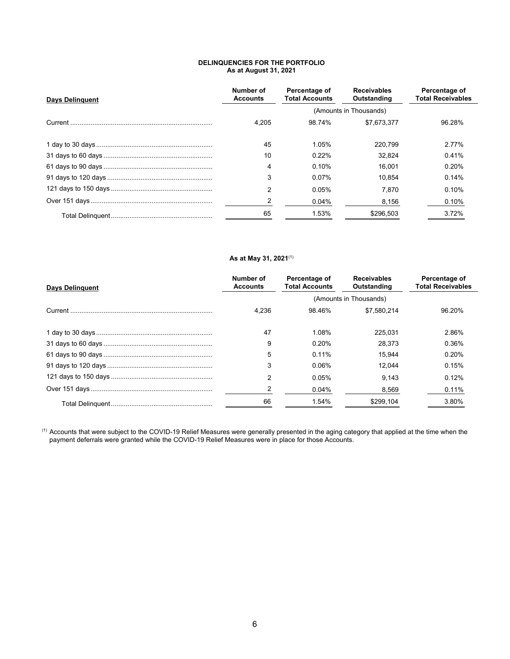# **DELINQUENCIES FOR THE PORTFOLIO As at August 31, 2021**

| <b>Days Delinguent</b> | Number of<br><b>Accounts</b> | Percentage of<br><b>Total Accounts</b> | <b>Receivables</b><br>Outstanding | Percentage of<br><b>Total Receivables</b> |  |  |
|------------------------|------------------------------|----------------------------------------|-----------------------------------|-------------------------------------------|--|--|
|                        |                              | (Amounts in Thousands)                 |                                   |                                           |  |  |
|                        | 4.205                        | 98.74%                                 | \$7.673.377                       | 96.28%                                    |  |  |
|                        | 45                           | 1.05%                                  | 220.799                           | 2.77%                                     |  |  |
|                        | 10                           | 0.22%                                  | 32.824                            | 0.41%                                     |  |  |
|                        | 4                            | 0.10%                                  | 16.001                            | 0.20%                                     |  |  |
|                        | 3                            | 0.07%                                  | 10.854                            | 0.14%                                     |  |  |
|                        | $\mathcal{P}$                | 0.05%                                  | 7.870                             | 0.10%                                     |  |  |
|                        |                              | 0.04%                                  | 8,156                             | 0.10%                                     |  |  |
|                        | 65                           | 1.53%                                  | \$296,503                         | 3.72%                                     |  |  |

# **As at May 31, 2021**(1)

| <b>Days Delinguent</b> | Number of<br><b>Accounts</b> | Percentage of<br><b>Total Accounts</b> | <b>Receivables</b><br>Outstanding | Percentage of<br><b>Total Receivables</b> |
|------------------------|------------------------------|----------------------------------------|-----------------------------------|-------------------------------------------|
|                        |                              |                                        | (Amounts in Thousands)            |                                           |
|                        | 4.236                        | 98.46%                                 | \$7.580.214                       | 96.20%                                    |
|                        | 47                           | 1.08%                                  | 225.031                           | 2.86%                                     |
|                        | 9                            | 0.20%                                  | 28.373                            | 0.36%                                     |
|                        | 5                            | 0.11%                                  | 15.944                            | 0.20%                                     |
|                        | 3                            | 0.06%                                  | 12.044                            | 0.15%                                     |
|                        | $\mathcal{P}$                | 0.05%                                  | 9.143                             | 0.12%                                     |
|                        |                              | 0.04%                                  | 8,569                             | 0.11%                                     |
|                        | 66                           | 1.54%                                  | \$299.104                         | 3.80%                                     |

 $^{(1)}$  Accounts that were subject to the COVID-19 Relief Measures were generally presented in the aging category that applied at the time when the payment deferrals were granted while the COVID-19 Relief Measures were in place for those Accounts.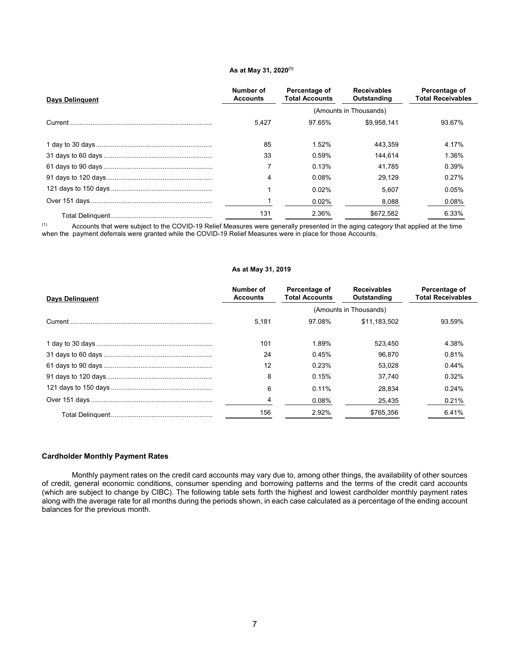#### **As at May 31, 2020(1)**

| <b>Days Delinguent</b> | Number of<br><b>Accounts</b> | Percentage of<br><b>Total Accounts</b> | <b>Receivables</b><br>Outstanding | Percentage of<br><b>Total Receivables</b> |
|------------------------|------------------------------|----------------------------------------|-----------------------------------|-------------------------------------------|
|                        |                              |                                        | (Amounts in Thousands)            |                                           |
|                        | 5.427                        | 97.65%                                 | \$9.958.141                       | 93.67%                                    |
|                        | 85                           | 1.52%                                  | 443.359                           | 4.17%                                     |
|                        | 33                           | 0.59%                                  | 144.614                           | 1.36%                                     |
|                        |                              | 0.13%                                  | 41.785                            | 0.39%                                     |
|                        | 4                            | 0.08%                                  | 29.129                            | 0.27%                                     |
|                        |                              | 0.02%                                  | 5.607                             | 0.05%                                     |
|                        |                              | 0.02%                                  | 8,088                             | 0.08%                                     |
|                        | 131                          | 2.36%                                  | \$672.582                         | 6.33%                                     |

(1) Accounts that were subject to the COVID-19 Relief Measures were generally presented in the aging category that applied at the time when the payment deferrals were granted while the COVID-19 Relief Measures were in place for those Accounts.

## **As at May 31, 2019**

| <b>Days Delinguent</b> | Number of<br><b>Accounts</b> | Percentage of<br><b>Total Accounts</b> | <b>Receivables</b><br>Outstanding | Percentage of<br><b>Total Receivables</b> |
|------------------------|------------------------------|----------------------------------------|-----------------------------------|-------------------------------------------|
|                        |                              |                                        | (Amounts in Thousands)            |                                           |
|                        | 5.181                        | 97.08%                                 | \$11,183,502                      | 93.59%                                    |
|                        | 101                          | 1.89%                                  | 523.450                           | 4.38%                                     |
|                        | 24                           | 0.45%                                  | 96.870                            | 0.81%                                     |
|                        | 12                           | 0.23%                                  | 53.028                            | 0.44%                                     |
|                        | 8                            | 0.15%                                  | 37.740                            | 0.32%                                     |
|                        | 6                            | $0.11\%$                               | 28.834                            | 0.24%                                     |
|                        |                              | 0.08%                                  | 25,435                            | 0.21%                                     |
|                        | 156                          | 2.92%                                  | \$765.356                         | 6.41%                                     |

#### **Cardholder Monthly Payment Rates**

Monthly payment rates on the credit card accounts may vary due to, among other things, the availability of other sources of credit, general economic conditions, consumer spending and borrowing patterns and the terms of the credit card accounts (which are subject to change by CIBC). The following table sets forth the highest and lowest cardholder monthly payment rates along with the average rate for all months during the periods shown, in each case calculated as a percentage of the ending account balances for the previous month.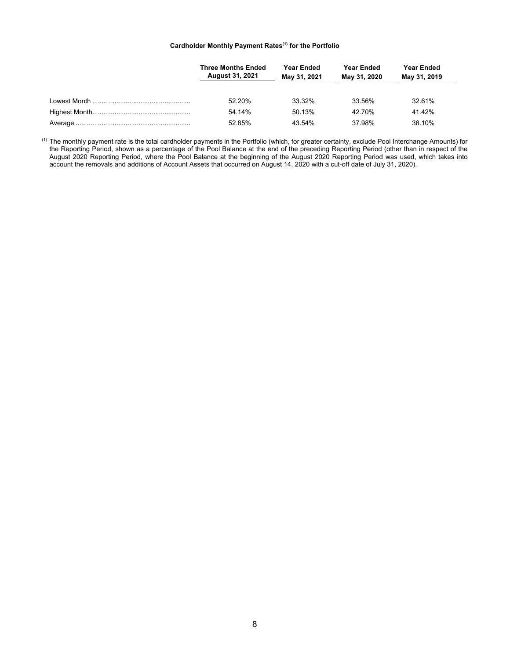## **Cardholder Monthly Payment Rates(1) for the Portfolio**

| <b>Three Months Ended</b><br><b>August 31, 2021</b> | <b>Year Ended</b><br>May 31, 2021 | <b>Year Ended</b><br>May 31, 2020 | <b>Year Ended</b><br>May 31, 2019 |
|-----------------------------------------------------|-----------------------------------|-----------------------------------|-----------------------------------|
| 52.20%                                              | 33.32%                            | 33.56%                            | 32.61%                            |
| 54.14%                                              | 50.13%                            | 42.70%                            | 41.42%                            |
| 52.85%                                              | 43.54%                            | 37.98%                            | 38.10%                            |

 $^{\text{\tiny{(1)}}}$  The monthly payment rate is the total cardholder payments in the Portfolio (which, for greater certainty, exclude Pool Interchange Amounts) for the Reporting Period, shown as a percentage of the Pool Balance at the end of the preceding Reporting Period (other than in respect of the August 2020 Reporting Period, where the Pool Balance at the beginning of the August 2020 Reporting Period was used, which takes into account the removals and additions of Account Assets that occurred on August 14, 2020 with a cut-off date of July 31, 2020).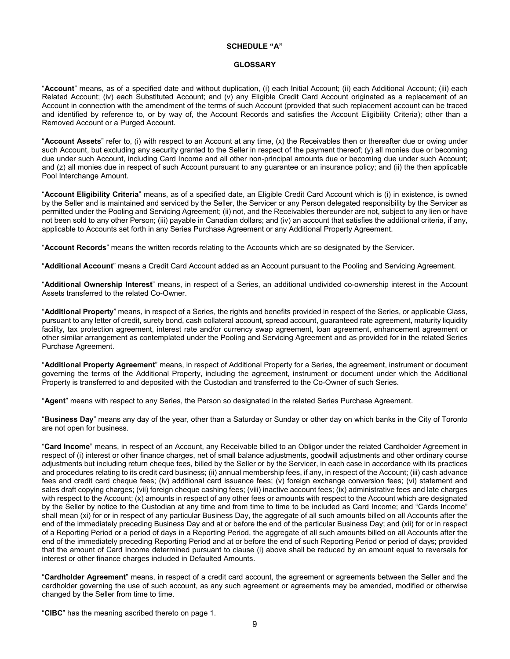# **SCHEDULE "A"**

## **GLOSSARY**

"**Account**" means, as of a specified date and without duplication, (i) each Initial Account; (ii) each Additional Account; (iii) each Related Account; (iv) each Substituted Account; and (v) any Eligible Credit Card Account originated as a replacement of an Account in connection with the amendment of the terms of such Account (provided that such replacement account can be traced and identified by reference to, or by way of, the Account Records and satisfies the Account Eligibility Criteria); other than a Removed Account or a Purged Account.

"**Account Assets**" refer to, (i) with respect to an Account at any time, (x) the Receivables then or thereafter due or owing under such Account, but excluding any security granted to the Seller in respect of the payment thereof; (y) all monies due or becoming due under such Account, including Card Income and all other non-principal amounts due or becoming due under such Account; and (z) all monies due in respect of such Account pursuant to any quarantee or an insurance policy; and (ii) the then applicable Pool Interchange Amount.

"**Account Eligibility Criteria**" means, as of a specified date, an Eligible Credit Card Account which is (i) in existence, is owned by the Seller and is maintained and serviced by the Seller, the Servicer or any Person delegated responsibility by the Servicer as permitted under the Pooling and Servicing Agreement; (ii) not, and the Receivables thereunder are not, subject to any lien or have not been sold to any other Person; (iii) payable in Canadian dollars; and (iv) an account that satisfies the additional criteria, if any, applicable to Accounts set forth in any Series Purchase Agreement or any Additional Property Agreement.

"**Account Records**" means the written records relating to the Accounts which are so designated by the Servicer.

"**Additional Account**" means a Credit Card Account added as an Account pursuant to the Pooling and Servicing Agreement.

"**Additional Ownership Interest**" means, in respect of a Series, an additional undivided co-ownership interest in the Account Assets transferred to the related Co-Owner.

"**Additional Property**" means, in respect of a Series, the rights and benefits provided in respect of the Series, or applicable Class, pursuant to any letter of credit, surety bond, cash collateral account, spread account, guaranteed rate agreement, maturity liquidity facility, tax protection agreement, interest rate and/or currency swap agreement, loan agreement, enhancement agreement or other similar arrangement as contemplated under the Pooling and Servicing Agreement and as provided for in the related Series Purchase Agreement.

"**Additional Property Agreement**" means, in respect of Additional Property for a Series, the agreement, instrument or document governing the terms of the Additional Property, including the agreement, instrument or document under which the Additional Property is transferred to and deposited with the Custodian and transferred to the Co-Owner of such Series.

"**Agent**" means with respect to any Series, the Person so designated in the related Series Purchase Agreement.

"**Business Day**" means any day of the year, other than a Saturday or Sunday or other day on which banks in the City of Toronto are not open for business.

"**Card Income**" means, in respect of an Account, any Receivable billed to an Obligor under the related Cardholder Agreement in respect of (i) interest or other finance charges, net of small balance adjustments, goodwill adjustments and other ordinary course adjustments but including return cheque fees, billed by the Seller or by the Servicer, in each case in accordance with its practices and procedures relating to its credit card business; (ii) annual membership fees, if any, in respect of the Account; (iii) cash advance fees and credit card cheque fees; (iv) additional card issuance fees; (v) foreign exchange conversion fees; (vi) statement and sales draft copying charges; (vii) foreign cheque cashing fees; (viii) inactive account fees; (ix) administrative fees and late charges with respect to the Account; (x) amounts in respect of any other fees or amounts with respect to the Account which are designated by the Seller by notice to the Custodian at any time and from time to time to be included as Card Income; and "Cards Income" shall mean (xi) for or in respect of any particular Business Day, the aggregate of all such amounts billed on all Accounts after the end of the immediately preceding Business Day and at or before the end of the particular Business Day; and (xii) for or in respect of a Reporting Period or a period of days in a Reporting Period, the aggregate of all such amounts billed on all Accounts after the end of the immediately preceding Reporting Period and at or before the end of such Reporting Period or period of days; provided that the amount of Card Income determined pursuant to clause (i) above shall be reduced by an amount equal to reversals for interest or other finance charges included in Defaulted Amounts.

"**Cardholder Agreement**" means, in respect of a credit card account, the agreement or agreements between the Seller and the cardholder governing the use of such account, as any such agreement or agreements may be amended, modified or otherwise changed by the Seller from time to time.

"**CIBC**" has the meaning ascribed thereto on page 1.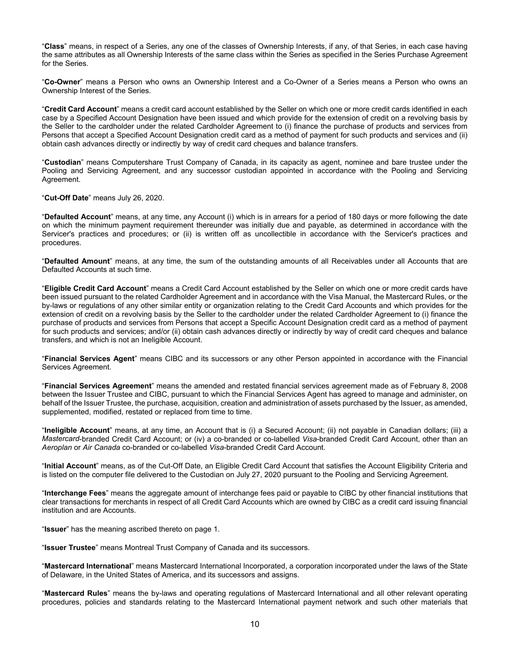"**Class**" means, in respect of a Series, any one of the classes of Ownership Interests, if any, of that Series, in each case having the same attributes as all Ownership Interests of the same class within the Series as specified in the Series Purchase Agreement for the Series.

"**Co-Owner**" means a Person who owns an Ownership Interest and a Co-Owner of a Series means a Person who owns an Ownership Interest of the Series.

"**Credit Card Account**" means a credit card account established by the Seller on which one or more credit cards identified in each case by a Specified Account Designation have been issued and which provide for the extension of credit on a revolving basis by the Seller to the cardholder under the related Cardholder Agreement to (i) finance the purchase of products and services from Persons that accept a Specified Account Designation credit card as a method of payment for such products and services and (ii) obtain cash advances directly or indirectly by way of credit card cheques and balance transfers.

"**Custodian**" means Computershare Trust Company of Canada, in its capacity as agent, nominee and bare trustee under the Pooling and Servicing Agreement, and any successor custodian appointed in accordance with the Pooling and Servicing Agreement.

"**Cut-Off Date**" means July 26, 2020.

"**Defaulted Account**" means, at any time, any Account (i) which is in arrears for a period of 180 days or more following the date on which the minimum payment requirement thereunder was initially due and payable, as determined in accordance with the Servicer's practices and procedures; or (ii) is written off as uncollectible in accordance with the Servicer's practices and procedures.

"**Defaulted Amount**" means, at any time, the sum of the outstanding amounts of all Receivables under all Accounts that are Defaulted Accounts at such time.

"**Eligible Credit Card Account**" means a Credit Card Account established by the Seller on which one or more credit cards have been issued pursuant to the related Cardholder Agreement and in accordance with the Visa Manual, the Mastercard Rules, or the by-laws or regulations of any other similar entity or organization relating to the Credit Card Accounts and which provides for the extension of credit on a revolving basis by the Seller to the cardholder under the related Cardholder Agreement to (i) finance the purchase of products and services from Persons that accept a Specific Account Designation credit card as a method of payment for such products and services; and/or (ii) obtain cash advances directly or indirectly by way of credit card cheques and balance transfers, and which is not an Ineligible Account.

"**Financial Services Agent**" means CIBC and its successors or any other Person appointed in accordance with the Financial Services Agreement.

"**Financial Services Agreement**" means the amended and restated financial services agreement made as of February 8, 2008 between the Issuer Trustee and CIBC, pursuant to which the Financial Services Agent has agreed to manage and administer, on behalf of the Issuer Trustee, the purchase, acquisition, creation and administration of assets purchased by the Issuer, as amended, supplemented, modified, restated or replaced from time to time.

"**Ineligible Account**" means, at any time, an Account that is (i) a Secured Account; (ii) not payable in Canadian dollars; (iii) a *Mastercard*-branded Credit Card Account; or (iv) a co-branded or co-labelled *Visa*-branded Credit Card Account, other than an *Aeroplan* or *Air Canada* co-branded or co-labelled *Visa*-branded Credit Card Account.

"**Initial Account**" means, as of the Cut-Off Date, an Eligible Credit Card Account that satisfies the Account Eligibility Criteria and is listed on the computer file delivered to the Custodian on July 27, 2020 pursuant to the Pooling and Servicing Agreement.

"**Interchange Fees**" means the aggregate amount of interchange fees paid or payable to CIBC by other financial institutions that clear transactions for merchants in respect of all Credit Card Accounts which are owned by CIBC as a credit card issuing financial institution and are Accounts.

"**Issuer**" has the meaning ascribed thereto on page 1.

"**Issuer Trustee**" means Montreal Trust Company of Canada and its successors.

"**Mastercard International**" means Mastercard International Incorporated, a corporation incorporated under the laws of the State of Delaware, in the United States of America, and its successors and assigns.

"**Mastercard Rules**" means the by-laws and operating regulations of Mastercard International and all other relevant operating procedures, policies and standards relating to the Mastercard International payment network and such other materials that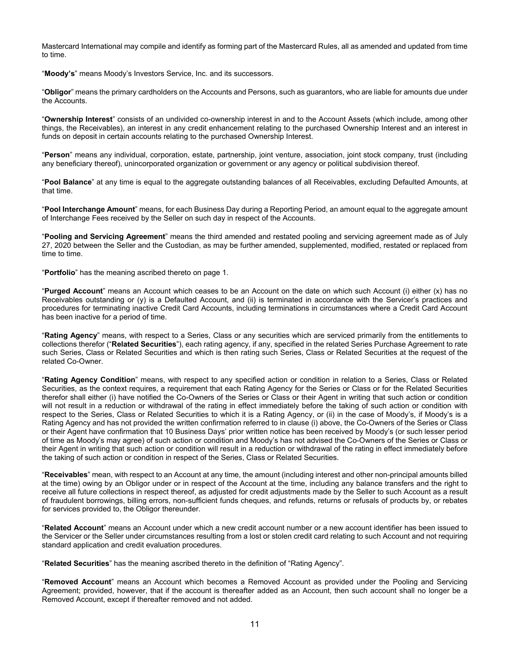Mastercard International may compile and identify as forming part of the Mastercard Rules, all as amended and updated from time to time.

"**Moody's**" means Moody's Investors Service, Inc. and its successors.

"**Obligor**" means the primary cardholders on the Accounts and Persons, such as guarantors, who are liable for amounts due under the Accounts.

"**Ownership Interest**" consists of an undivided co-ownership interest in and to the Account Assets (which include, among other things, the Receivables), an interest in any credit enhancement relating to the purchased Ownership Interest and an interest in funds on deposit in certain accounts relating to the purchased Ownership Interest.

"**Person**" means any individual, corporation, estate, partnership, joint venture, association, joint stock company, trust (including any beneficiary thereof), unincorporated organization or government or any agency or political subdivision thereof.

"**Pool Balance**" at any time is equal to the aggregate outstanding balances of all Receivables, excluding Defaulted Amounts, at that time.

"**Pool Interchange Amount**" means, for each Business Day during a Reporting Period, an amount equal to the aggregate amount of Interchange Fees received by the Seller on such day in respect of the Accounts.

"**Pooling and Servicing Agreement**" means the third amended and restated pooling and servicing agreement made as of July 27, 2020 between the Seller and the Custodian, as may be further amended, supplemented, modified, restated or replaced from time to time.

"**Portfolio**" has the meaning ascribed thereto on page 1.

"**Purged Account**" means an Account which ceases to be an Account on the date on which such Account (i) either (x) has no Receivables outstanding or (y) is a Defaulted Account, and (ii) is terminated in accordance with the Servicer's practices and procedures for terminating inactive Credit Card Accounts, including terminations in circumstances where a Credit Card Account has been inactive for a period of time.

"**Rating Agency**" means, with respect to a Series, Class or any securities which are serviced primarily from the entitlements to collections therefor ("**Related Securities**"), each rating agency, if any, specified in the related Series Purchase Agreement to rate such Series, Class or Related Securities and which is then rating such Series, Class or Related Securities at the request of the related Co-Owner.

"**Rating Agency Condition**" means, with respect to any specified action or condition in relation to a Series, Class or Related Securities, as the context requires, a requirement that each Rating Agency for the Series or Class or for the Related Securities therefor shall either (i) have notified the Co-Owners of the Series or Class or their Agent in writing that such action or condition will not result in a reduction or withdrawal of the rating in effect immediately before the taking of such action or condition with respect to the Series, Class or Related Securities to which it is a Rating Agency, or (ii) in the case of Moody's, if Moody's is a Rating Agency and has not provided the written confirmation referred to in clause (i) above, the Co-Owners of the Series or Class or their Agent have confirmation that 10 Business Days' prior written notice has been received by Moody's (or such lesser period of time as Moody's may agree) of such action or condition and Moody's has not advised the Co-Owners of the Series or Class or their Agent in writing that such action or condition will result in a reduction or withdrawal of the rating in effect immediately before the taking of such action or condition in respect of the Series, Class or Related Securities.

"**Receivables**" mean, with respect to an Account at any time, the amount (including interest and other non-principal amounts billed at the time) owing by an Obligor under or in respect of the Account at the time, including any balance transfers and the right to receive all future collections in respect thereof, as adjusted for credit adjustments made by the Seller to such Account as a result of fraudulent borrowings, billing errors, non-sufficient funds cheques, and refunds, returns or refusals of products by, or rebates for services provided to, the Obligor thereunder.

"**Related Account**" means an Account under which a new credit account number or a new account identifier has been issued to the Servicer or the Seller under circumstances resulting from a lost or stolen credit card relating to such Account and not requiring standard application and credit evaluation procedures.

"**Related Securities**" has the meaning ascribed thereto in the definition of "Rating Agency".

"**Removed Account**" means an Account which becomes a Removed Account as provided under the Pooling and Servicing Agreement; provided, however, that if the account is thereafter added as an Account, then such account shall no longer be a Removed Account, except if thereafter removed and not added.